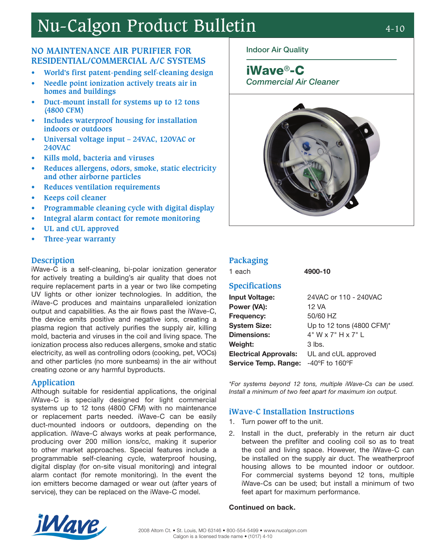# Nu-Calgon Product Bulletin 4-10

# **NO MAINTENANCE AIR PURIFIER FOR RESIDENTIAL/COMMERCIAL A/C SYSTEMS**

- **• World's first patent-pending self-cleaning design**
- **• Needle point ionization actively treats air in homes and buildings**
- **• Duct-mount install for systems up to 12 tons (4800 CFM)**
- **• Includes waterproof housing for installation indoors or outdoors**
- **• Universal voltage input 24VAC, 120VAC or 240VAC**
- **• Kills mold, bacteria and viruses**
- **• Reduces allergens, odors, smoke, static electricity and other airborne particles**
- **• Reduces ventilation requirements**
- **• Keeps coil cleaner**
- **• Programmable cleaning cycle with digital display**
- **• Integral alarm contact for remote monitoring**
- **• UL and cUL approved**
- **• Three-year warranty**

## **Description**

iWave-C is a self-cleaning, bi-polar ionization generator for actively treating a building's air quality that does not require replacement parts in a year or two like competing UV lights or other ionizer technologies. In addition, the iWave-C produces and maintains unparalleled ionization output and capabilities. As the air flows past the iWave-C, the device emits positive and negative ions, creating a plasma region that actively purifies the supply air, killing mold, bacteria and viruses in the coil and living space. The ionization process also reduces allergens, smoke and static electricity, as well as controlling odors (cooking, pet, VOCs) and other particles (no more sunbeams) in the air without creating ozone or any harmful byproducts.

## **Application**

Although suitable for residential applications, the original iWave-C is specially designed for light commercial systems up to 12 tons (4800 CFM) with no maintenance or replacement parts needed. iWave-C can be easily duct-mounted indoors or outdoors, depending on the application. iWave-C always works at peak performance, producing over 200 million ions/cc, making it superior to other market approaches. Special features include a programmable self-cleaning cycle, waterproof housing, digital display (for on-site visual monitoring) and integral alarm contact (for remote monitoring). In the event the ion emitters become damaged or wear out (after years of service), they can be replaced on the iWave-C model.

## Indoor Air Quality

iWave®-C Commercial Air Cleaner



# **Packaging**

1 each 4900-10

## **Specifications**

| <b>Input Voltage:</b>        | 24VAC or 110 - 240VAC               |
|------------------------------|-------------------------------------|
| Power (VA):                  | 12 VA                               |
| Frequency:                   | 50/60 HZ                            |
| <b>System Size:</b>          | Up to 12 tons (4800 CFM)*           |
| <b>Dimensions:</b>           | $4"$ W x 7" H x 7" L                |
| Weight:                      | $3$ lbs.                            |
| <b>Electrical Approvals:</b> | UL and cUL approved                 |
| <b>Service Temp. Range:</b>  | $-40^{\circ}$ F to 160 $^{\circ}$ F |

\*For systems beyond 12 tons, multiple iWave-Cs can be used. Install a minimum of two feet apart for maximum ion output.

## **iWave-C Installation Instructions**

- 1. Turn power off to the unit.
- 2. Install in the duct, preferably in the return air duct between the prefilter and cooling coil so as to treat the coil and living space. However, the iWave-C can be installed on the supply air duct. The weatherproof housing allows to be mounted indoor or outdoor. For commercial systems beyond 12 tons, multiple iWave-Cs can be used; but install a minimum of two feet apart for maximum performance.

#### Continued on back.